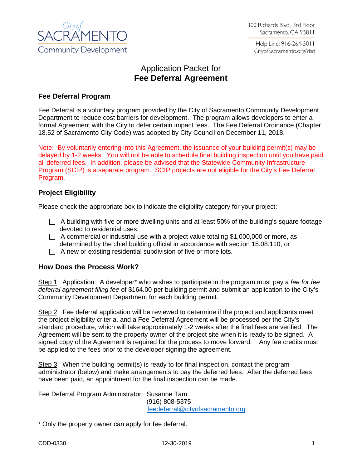

Help Line: 916-264-5011 CityofSacramento.org/dsd

## Application Packet for **Fee Deferral Agreement**

## **Fee Deferral Program**

Fee Deferral is a voluntary program provided by the City of Sacramento Community Development Department to reduce cost barriers for development. The program allows developers to enter a formal Agreement with the City to defer certain impact fees. The Fee Deferral Ordinance (Chapter 18.52 of Sacramento City Code) was adopted by City Council on December 11, 2018.

Note: By voluntarily entering into this Agreement, the issuance of your building permit(s) may be delayed by 1-2 weeks. You will not be able to schedule final building inspection until you have paid all deferred fees. In addition, please be advised that the Statewide Community Infrastructure Program (SCIP) is a separate program. SCIP projects are not eligible for the City's Fee Deferral Program.

## **Project Eligibility**

Please check the appropriate box to indicate the eligibility category for your project:

- $\Box$  A building with five or more dwelling units and at least 50% of the building's square footage devoted to residential uses;
- $\Box$  A commercial or industrial use with a project value totaling \$1,000,000 or more, as determined by the chief building official in accordance with section 15.08.110; or
- $\Box$  A new or existing residential subdivision of five or more lots.

## **How Does the Process Work?**

Step 1: Application: A developer\* who wishes to participate in the program must pay a *fee for fee deferral agreement filing fee* of \$164.00 per building permit and submit an application to the City's Community Development Department for each building permit.

Step 2: Fee deferral application will be reviewed to determine if the project and applicants meet the project eligibility criteria, and a Fee Deferral Agreement will be processed per the City's standard procedure, which will take approximately 1-2 weeks after the final fees are verified. The Agreement will be sent to the property owner of the project site when it is ready to be signed. A signed copy of the Agreement is required for the process to move forward. Any fee credits must be applied to the fees prior to the developer signing the agreement.

Step 3: When the building permit(s) is ready to for final inspection, contact the program administrator (below) and make arrangements to pay the deferred fees. After the deferred fees have been paid, an appointment for the final inspection can be made.

Fee Deferral Program Administrator: Susanne Tam

(916) 808-5375 [feedeferral@cityofsacramento.org](mailto:SCook@cityofsacramento.org)

\* Only the property owner can apply for fee deferral.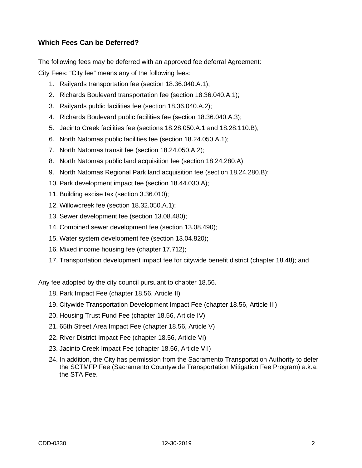## **Which Fees Can be Deferred?**

The following fees may be deferred with an approved fee deferral Agreement: City Fees: "City fee" means any of the following fees:

- 1. Railyards transportation fee (section 18.36.040.A.1);
- 2. Richards Boulevard transportation fee (section 18.36.040.A.1);
- 3. Railyards public facilities fee (section 18.36.040.A.2);
- 4. Richards Boulevard public facilities fee (section 18.36.040.A.3);
- 5. Jacinto Creek facilities fee (sections 18.28.050.A.1 and 18.28.110.B);
- 6. North Natomas public facilities fee (section 18.24.050.A.1);
- 7. North Natomas transit fee (section 18.24.050.A.2);
- 8. North Natomas public land acquisition fee (section 18.24.280.A);
- 9. North Natomas Regional Park land acquisition fee (section 18.24.280.B);
- 10. Park development impact fee (section 18.44.030.A);
- 11. Building excise tax (section 3.36.010);
- 12. Willowcreek fee (section 18.32.050.A.1);
- 13. Sewer development fee (section 13.08.480);
- 14. Combined sewer development fee (section 13.08.490);
- 15. Water system development fee (section 13.04.820);
- 16. Mixed income housing fee (chapter 17.712);
- 17. Transportation development impact fee for citywide benefit district (chapter 18.48); and

Any fee adopted by the city council pursuant to chapter 18.56.

- 18. Park Impact Fee (chapter 18.56, Article II)
- 19. Citywide Transportation Development Impact Fee (chapter 18.56, Article III)
- 20. Housing Trust Fund Fee (chapter 18.56, Article IV)
- 21. 65th Street Area Impact Fee (chapter 18.56, Article V)
- 22. River District Impact Fee (chapter 18.56, Article VI)
- 23. Jacinto Creek Impact Fee (chapter 18.56, Article VII)
- 24. In addition, the City has permission from the Sacramento Transportation Authority to defer the SCTMFP Fee (Sacramento Countywide Transportation Mitigation Fee Program) a.k.a. the STA Fee.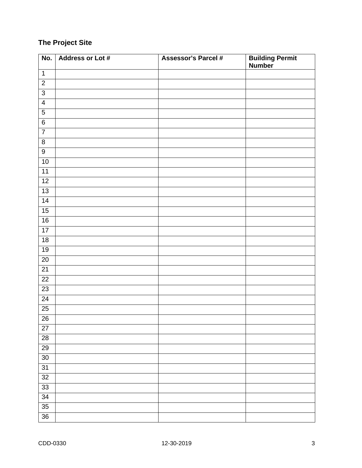## **The Project Site**

| No.             | Address or Lot # | <b>Assessor's Parcel #</b> | <b>Building Permit<br/>Number</b> |
|-----------------|------------------|----------------------------|-----------------------------------|
| $\mathbf{1}$    |                  |                            |                                   |
| $\overline{2}$  |                  |                            |                                   |
| $\overline{3}$  |                  |                            |                                   |
| $\overline{4}$  |                  |                            |                                   |
| $\overline{5}$  |                  |                            |                                   |
| $\overline{6}$  |                  |                            |                                   |
| $\overline{7}$  |                  |                            |                                   |
| $\overline{8}$  |                  |                            |                                   |
| $\overline{9}$  |                  |                            |                                   |
| 10              |                  |                            |                                   |
| 11              |                  |                            |                                   |
| 12              |                  |                            |                                   |
| $\overline{13}$ |                  |                            |                                   |
| $\overline{14}$ |                  |                            |                                   |
| 15              |                  |                            |                                   |
| 16              |                  |                            |                                   |
| $\overline{17}$ |                  |                            |                                   |
| 18              |                  |                            |                                   |
| $19$            |                  |                            |                                   |
| $\overline{20}$ |                  |                            |                                   |
| $\overline{21}$ |                  |                            |                                   |
| $\overline{22}$ |                  |                            |                                   |
| 23              |                  |                            |                                   |
| $\overline{24}$ |                  |                            |                                   |
| $\overline{25}$ |                  |                            |                                   |
| $\overline{26}$ |                  |                            |                                   |
| $\overline{27}$ |                  |                            |                                   |
| $\overline{28}$ |                  |                            |                                   |
| $\overline{29}$ |                  |                            |                                   |
| 30              |                  |                            |                                   |
| 31              |                  |                            |                                   |
| 32              |                  |                            |                                   |
| $\overline{33}$ |                  |                            |                                   |
| $\overline{34}$ |                  |                            |                                   |
| $\overline{35}$ |                  |                            |                                   |
| $\overline{36}$ |                  |                            |                                   |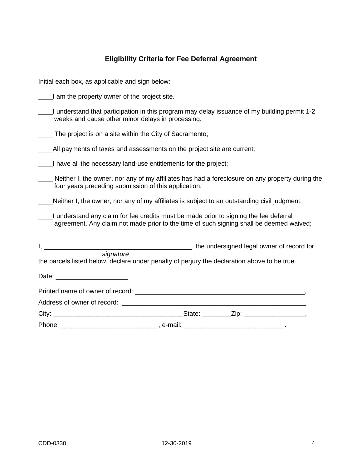# **Eligibility Criteria for Fee Deferral Agreement**

| Initial each box, as applicable and sign below:                                                                                                                                  |  |  |  |  |  |
|----------------------------------------------------------------------------------------------------------------------------------------------------------------------------------|--|--|--|--|--|
| I am the property owner of the project site.                                                                                                                                     |  |  |  |  |  |
| I understand that participation in this program may delay issuance of my building permit 1-2<br>weeks and cause other minor delays in processing.                                |  |  |  |  |  |
| The project is on a site within the City of Sacramento;                                                                                                                          |  |  |  |  |  |
| All payments of taxes and assessments on the project site are current;                                                                                                           |  |  |  |  |  |
| __I have all the necessary land-use entitlements for the project;                                                                                                                |  |  |  |  |  |
| Neither I, the owner, nor any of my affiliates has had a foreclosure on any property during the<br>four years preceding submission of this application;                          |  |  |  |  |  |
| Neither I, the owner, nor any of my affiliates is subject to an outstanding civil judgment;                                                                                      |  |  |  |  |  |
| I understand any claim for fee credits must be made prior to signing the fee deferral<br>agreement. Any claim not made prior to the time of such signing shall be deemed waived; |  |  |  |  |  |
|                                                                                                                                                                                  |  |  |  |  |  |
| signature<br>the parcels listed below, declare under penalty of perjury the declaration above to be true.                                                                        |  |  |  |  |  |
|                                                                                                                                                                                  |  |  |  |  |  |
|                                                                                                                                                                                  |  |  |  |  |  |
|                                                                                                                                                                                  |  |  |  |  |  |
|                                                                                                                                                                                  |  |  |  |  |  |
|                                                                                                                                                                                  |  |  |  |  |  |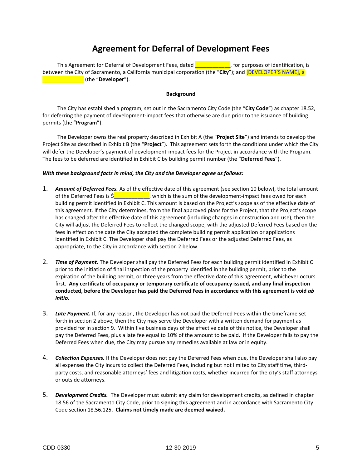## **Agreement for Deferral of Development Fees**

This Agreement for Deferral of Development Fees, dated \_\_\_\_\_\_\_\_\_\_\_\_, for purposes of identification, is between the City of Sacramento, a California municipal corporation (the "**City**"); and [DEVELOPER'S NAME], a \_\_\_\_\_\_\_\_\_\_\_\_\_\_ (the "**Developer**").

#### **Background**

The City has established a program, set out in the Sacramento City Code (the "**City Code**") as chapter 18.52, for deferring the payment of development-impact fees that otherwise are due prior to the issuance of building permits (the "**Program**").

The Developer owns the real property described in Exhibit A (the "**Project Site**") and intends to develop the Project Site as described in Exhibit B (the "**Project**"). This agreement sets forth the conditions under which the City will defer the Developer's payment of development-impact fees for the Project in accordance with the Program. The fees to be deferred are identified in Exhibit C by building permit number (the "**Deferred Fees**").

#### *With these background facts in mind, the City and the Developer agree as follows:*

- 1. *Amount of Deferred Fees.* As of the effective date of this agreement (see section 10 below), the total amount of the Deferred Fees is  $\frac{1}{2}$  and  $\frac{1}{2}$ , which is the sum of the development-impact fees owed for each building permit identified in Exhibit C. This amount is based on the Project's scope as of the effective date of this agreement. If the City determines, from the final approved plans for the Project, that the Project's scope has changed after the effective date of this agreement (including changes in construction and use), then the City will adjust the Deferred Fees to reflect the changed scope, with the adjusted Deferred Fees based on the fees in effect on the date the City accepted the complete building permit application or applications identified in Exhibit C. The Developer shall pay the Deferred Fees or the adjusted Deferred Fees, as appropriate, to the City in accordance with section 2 below.
- 2. *Time of Payment***.** The Developer shall pay the Deferred Fees for each building permit identified in Exhibit C prior to the initiation of final inspection of the property identified in the building permit, prior to the expiration of the building permit, or three years from the effective date of this agreement, whichever occurs first. **Any certificate of occupancy or temporary certificate of occupancy issued, and any final inspection conducted, before the Developer has paid the Deferred Fees in accordance with this agreement is void** *ab initio***.**
- 3. *Late Payment***.** If, for any reason, the Developer has not paid the Deferred Fees within the timeframe set forth in section 2 above, then the City may serve the Developer with a written demand for payment as provided for in section 9. Within five business days of the effective date of this notice, the Developer shall pay the Deferred Fees, plus a late fee equal to 10% of the amount to be paid. If the Developer fails to pay the Deferred Fees when due, the City may pursue any remedies available at law or in equity.
- 4. *Collection Expenses.* If the Developer does not pay the Deferred Fees when due, the Developer shall also pay all expenses the City incurs to collect the Deferred Fees, including but not limited to City staff time, thirdparty costs, and reasonable attorneys' fees and litigation costs, whether incurred for the city's staff attorneys or outside attorneys.
- 5. *Development Credits.* The Developer must submit any claim for development credits, as defined in chapter 18.56 of the Sacramento City Code, prior to signing this agreement and in accordance with Sacramento City Code section 18.56.125. **Claims not timely made are deemed waived.**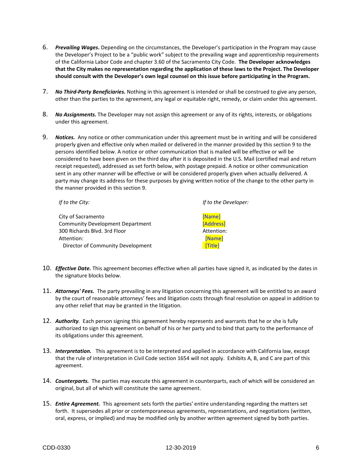- 6. *Prevailing Wages***.** Depending on the circumstances, the Developer's participation in the Program may cause the Developer's Project to be a "public work" subject to the prevailing wage and apprenticeship requirements of the California Labor Code and chapter 3.60 of the Sacramento City Code. **The Developer acknowledges that the City makes no representation regarding the application of these laws to the Project. The Developer should consult with the Developer's own legal counsel on this issue before participating in the Program.**
- 7. *No Third-Party Beneficiaries.* Nothing in this agreement is intended or shall be construed to give any person, other than the parties to the agreement, any legal or equitable right, remedy, or claim under this agreement.
- 8. *No Assignments.* The Developer may not assign this agreement or any of its rights, interests, or obligations under this agreement.
- 9. *Notices.* Any notice or other communication under this agreement must be in writing and will be considered properly given and effective only when mailed or delivered in the manner provided by this section 9 to the persons identified below. A notice or other communication that is mailed will be effective or will be considered to have been given on the third day after it is deposited in the U.S. Mail (certified mail and return receipt requested), addressed as set forth below, with postage prepaid. A notice or other communication sent in any other manner will be effective or will be considered properly given when actually delivered. A party may change its address for these purposes by giving written notice of the change to the other party in the manner provided in this section 9.

| If to the City:                         | If to the Developer: |
|-----------------------------------------|----------------------|
| City of Sacramento                      | [Name]               |
| <b>Community Development Department</b> | [Address]            |
| 300 Richards Blvd. 3rd Floor            | Attention:           |
| Attention:                              | [Name]               |
| Director of Community Development       | <b>Title1</b>        |

- 10. *Effective Date.* This agreement becomes effective when all parties have signed it, as indicated by the dates in the signature blocks below.
- 11. *Attorneys' Fees.* The party prevailing in any litigation concerning this agreement will be entitled to an award by the court of reasonable attorneys' fees and litigation costs through final resolution on appeal in addition to any other relief that may be granted in the litigation.
- 12. *Authority.* Each person signing this agreement hereby represents and warrants that he or she is fully authorized to sign this agreement on behalf of his or her party and to bind that party to the performance of its obligations under this agreement.
- 13. *Interpretation.* This agreement is to be interpreted and applied in accordance with California law, except that the rule of interpretation in Civil Code section 1654 will not apply. Exhibits A, B, and C are part of this agreement.
- 14. *Counterparts.* The parties may execute this agreement in counterparts, each of which will be considered an original, but all of which will constitute the same agreement.
- 15. *Entire Agreement.* This agreement sets forth the parties' entire understanding regarding the matters set forth. It supersedes all prior or contemporaneous agreements, representations, and negotiations (written, oral, express, or implied) and may be modified only by another written agreement signed by both parties.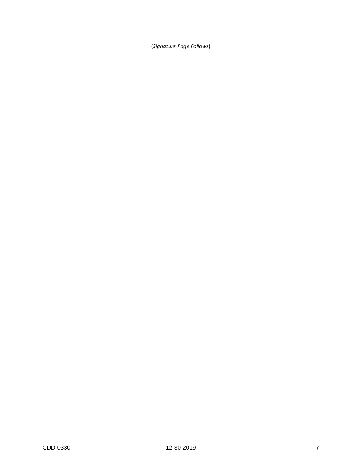(*Signature Page Follows*)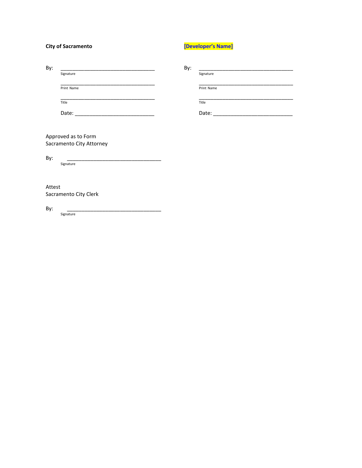| <b>City of Sacramento</b> |                          | [Developer's Name] |            |  |
|---------------------------|--------------------------|--------------------|------------|--|
| By:                       | Signature                | By:                | Signature  |  |
|                           |                          |                    |            |  |
|                           | Print Name               |                    | Print Name |  |
|                           | Title                    |                    | Title      |  |
|                           |                          |                    |            |  |
|                           |                          |                    |            |  |
| Approved as to Form       |                          |                    |            |  |
|                           | Sacramento City Attorney |                    |            |  |
| By:                       | Signature                |                    |            |  |
|                           |                          |                    |            |  |
| Attest                    |                          |                    |            |  |

Sacramento City Clerk

Signature

By: \_\_\_\_\_\_\_\_\_\_\_\_\_\_\_\_\_\_\_\_\_\_\_\_\_\_\_\_\_\_\_\_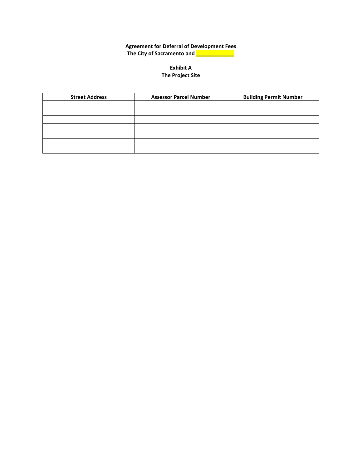## **Agreement for Deferral of Development Fees The City of Sacramento and \_\_\_\_\_\_\_\_\_\_\_\_\_**

### **Exhibit A The Project Site**

| <b>Street Address</b> | <b>Assessor Parcel Number</b> | <b>Building Permit Number</b> |
|-----------------------|-------------------------------|-------------------------------|
|                       |                               |                               |
|                       |                               |                               |
|                       |                               |                               |
|                       |                               |                               |
|                       |                               |                               |
|                       |                               |                               |
|                       |                               |                               |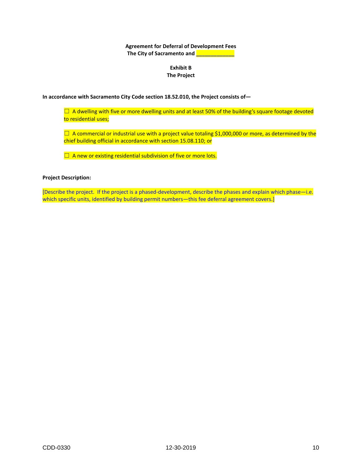**Agreement for Deferral of Development Fees The City of Sacramento and \_\_\_\_\_\_\_\_\_\_\_\_\_**

### **Exhibit B The Project**

**In accordance with Sacramento City Code section 18.52.010, the Project consists of—**

 $\Box$  A dwelling with five or more dwelling units and at least 50% of the building's square footage devoted to residential uses;

 $\Box$  A commercial or industrial use with a project value totaling \$1,000,000 or more, as determined by the chief building official in accordance with section 15.08.110; or

 $\Box$  A new or existing residential subdivision of five or more lots.

#### **Project Description:**

[Describe the project. If the project is a phased-development, describe the phases and explain which phase—i.e. which specific units, identified by building permit numbers—this fee deferral agreement covers.]